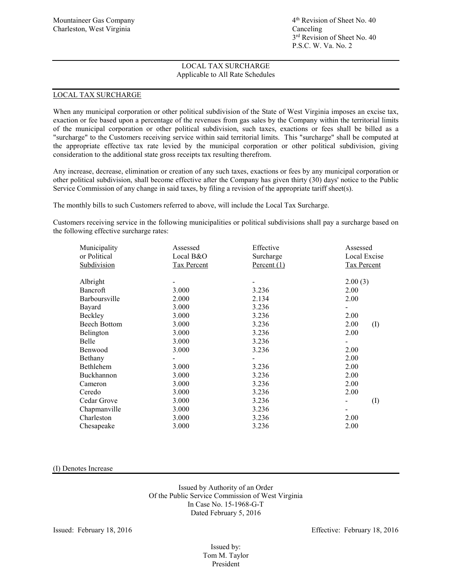### LOCAL TAX SURCHARGE

When any municipal corporation or other political subdivision of the State of West Virginia imposes an excise tax, exaction or fee based upon a percentage of the revenues from gas sales by the Company within the territorial limits of the municipal corporation or other political subdivision, such taxes, exactions or fees shall be billed as a "surcharge" to the Customers receiving service within said territorial limits. This "surcharge" shall be computed at the appropriate effective tax rate levied by the municipal corporation or other political subdivision, giving consideration to the additional state gross receipts tax resulting therefrom.

Any increase, decrease, elimination or creation of any such taxes, exactions or fees by any municipal corporation or other political subdivision, shall become effective after the Company has given thirty (30) days' notice to the Public Service Commission of any change in said taxes, by filing a revision of the appropriate tariff sheet(s).

The monthly bills to such Customers referred to above, will include the Local Tax Surcharge.

Customers receiving service in the following municipalities or political subdivisions shall pay a surcharge based on the following effective surcharge rates:

| Municipality<br>or Political<br>Subdivision | Assessed<br>Local B&O<br>Tax Percent | Effective<br>Surcharge<br>Percent $(1)$ | Assessed<br>Local Excise<br>Tax Percent |  |
|---------------------------------------------|--------------------------------------|-----------------------------------------|-----------------------------------------|--|
| Albright                                    |                                      |                                         | 2.00(3)                                 |  |
| Bancroft                                    | 3.000                                | 3.236                                   | 2.00                                    |  |
| Barboursville                               | 2.000                                | 2.134                                   | 2.00                                    |  |
| Bayard                                      | 3.000                                | 3.236                                   |                                         |  |
| Beckley                                     | 3.000                                | 3.236                                   | 2.00                                    |  |
| <b>Beech Bottom</b>                         | 3.000                                | 3.236                                   | 2.00<br>(I)                             |  |
| Belington                                   | 3.000                                | 3.236                                   | 2.00                                    |  |
| Belle                                       | 3.000                                | 3.236                                   |                                         |  |
| Benwood                                     | 3.000                                | 3.236                                   | 2.00                                    |  |
| Bethany                                     |                                      |                                         | 2.00                                    |  |
| Bethlehem                                   | 3.000                                | 3.236                                   | 2.00                                    |  |
| Buckhannon                                  | 3.000                                | 3.236                                   | 2.00                                    |  |
| Cameron                                     | 3.000                                | 3.236                                   | 2.00                                    |  |
| Ceredo                                      | 3.000                                | 3.236                                   | 2.00                                    |  |
| Cedar Grove                                 | 3.000                                | 3.236                                   | $\rm (I)$                               |  |
| Chapmanville                                | 3.000                                | 3.236                                   |                                         |  |
| Charleston                                  | 3.000                                | 3.236                                   | 2.00                                    |  |
| Chesapeake                                  | 3.000                                | 3.236                                   | 2.00                                    |  |

(I) Denotes Increase

Issued by Authority of an Order Of the Public Service Commission of West Virginia In Case No. 15-1968-G-T Dated February 5, 2016

Issued: February 18, 2016 Effective: February 18, 2016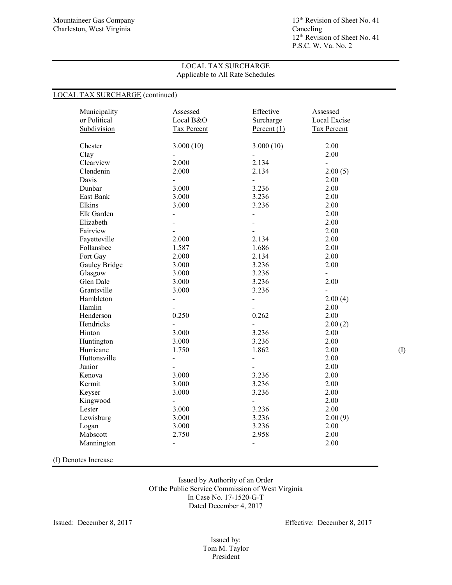12<sup>th</sup> Revision of Sheet No. 41 P.S.C. W. Va. No. 2

## LOCAL TAX SURCHARGE Applicable to All Rate Schedules

## LOCAL TAX SURCHARGE (continued)

| Municipality<br>or Political<br>Subdivision | Assessed<br>Local B&O<br><b>Tax Percent</b> | Effective<br>Surcharge<br>Percent $(1)$ | Assessed<br>Local Excise<br><b>Tax Percent</b> |     |
|---------------------------------------------|---------------------------------------------|-----------------------------------------|------------------------------------------------|-----|
| Chester                                     | 3.000(10)                                   | 3.000(10)                               | 2.00                                           |     |
| Clay                                        |                                             |                                         | 2.00                                           |     |
| Clearview                                   | 2.000                                       | 2.134                                   | $\overline{a}$                                 |     |
| Clendenin                                   | 2.000                                       | 2.134                                   | 2.00(5)                                        |     |
| Davis                                       | $\blacksquare$                              | $\overline{\phantom{a}}$                | 2.00                                           |     |
| Dunbar                                      | 3.000                                       | 3.236                                   | 2.00                                           |     |
| East Bank                                   | 3.000                                       | 3.236                                   | 2.00                                           |     |
| Elkins                                      | 3.000                                       | 3.236                                   | 2.00                                           |     |
| Elk Garden                                  | $\blacksquare$                              | $\frac{1}{2}$                           | 2.00                                           |     |
| Elizabeth                                   | $\overline{\phantom{a}}$                    | $\overline{\phantom{0}}$                | 2.00                                           |     |
| Fairview                                    |                                             |                                         | 2.00                                           |     |
| Fayetteville                                | 2.000                                       | 2.134                                   | 2.00                                           |     |
| Follansbee                                  | 1.587                                       | 1.686                                   | 2.00                                           |     |
| Fort Gay                                    | 2.000                                       | 2.134                                   | 2.00                                           |     |
| Gauley Bridge                               | 3.000                                       | 3.236                                   | 2.00                                           |     |
| Glasgow                                     | 3.000                                       | 3.236                                   | $\overline{\phantom{0}}$                       |     |
| Glen Dale                                   | 3.000                                       | 3.236                                   | 2.00                                           |     |
| Grantsville                                 | 3.000                                       | 3.236                                   | $\overline{\phantom{0}}$                       |     |
| Hambleton                                   | $\frac{1}{2}$                               | $\frac{1}{2}$                           | 2.00(4)                                        |     |
| Hamlin                                      |                                             |                                         | 2.00                                           |     |
| Henderson                                   | 0.250                                       | 0.262                                   | 2.00                                           |     |
| Hendricks                                   | $\frac{1}{2}$                               | $\overline{a}$                          | 2.00(2)                                        |     |
| Hinton                                      | 3.000                                       | 3.236                                   | 2.00                                           |     |
| Huntington                                  | 3.000                                       | 3.236                                   | 2.00                                           |     |
| Hurricane                                   | 1.750                                       | 1.862                                   | 2.00                                           | (1) |
| Huttonsville                                | $\blacksquare$                              | $\blacksquare$                          | 2.00                                           |     |
| Junior                                      | $\overline{\phantom{a}}$                    | $\blacksquare$                          | 2.00                                           |     |
| Kenova                                      | 3.000                                       | 3.236                                   | 2.00                                           |     |
| Kermit                                      | 3.000                                       | 3.236                                   | 2.00                                           |     |
| Keyser                                      | 3.000                                       | 3.236                                   | 2.00                                           |     |
| Kingwood                                    | $\blacksquare$                              | $\blacksquare$                          | 2.00                                           |     |
| Lester                                      | 3.000                                       | 3.236                                   | 2.00                                           |     |
| Lewisburg                                   | 3.000                                       | 3.236                                   | 2.00(9)                                        |     |
| Logan                                       | 3.000                                       | 3.236                                   | 2.00                                           |     |
| Mabscott                                    | 2.750                                       | 2.958                                   | 2.00                                           |     |
| Mannington                                  | $\blacksquare$                              | $\overline{\phantom{a}}$                | 2.00                                           |     |
|                                             |                                             |                                         |                                                |     |

(I) Denotes Increase

Issued by Authority of an Order Of the Public Service Commission of West Virginia In Case No. 17-1520-G-T Dated December 4, 2017

Issued: December 8, 2017 Effective: December 8, 2017

Issued by: Tom M. Taylor President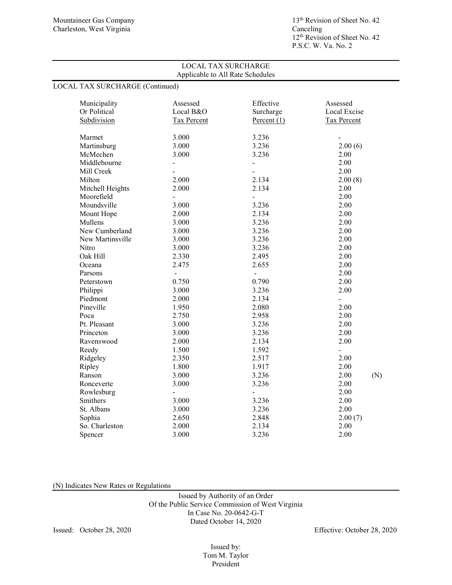# LOCAL TAX SURCHARGE (Continued)

| Municipality     | Assessed                 | Effective                | Assessed                 |
|------------------|--------------------------|--------------------------|--------------------------|
| Or Political     | Local B&O                | Surcharge                | Local Excise             |
| Subdivision      | Tax Percent              | Percent $(1)$            | Tax Percent              |
|                  |                          |                          |                          |
| Marmet           | 3.000                    | 3.236                    |                          |
| Martinsburg      | 3.000                    | 3.236                    | 2.00(6)                  |
| McMechen         | 3.000                    | 3.236                    | 2.00                     |
| Middlebourne     | $\overline{\phantom{a}}$ | $\overline{\phantom{a}}$ | 2.00                     |
| Mill Creek       |                          |                          | 2.00                     |
| Milton           | 2.000                    | 2.134                    | 2.00(8)                  |
| Mitchell Heights | 2.000                    | 2.134                    | 2.00                     |
| Moorefield       | $\blacksquare$           | $\overline{a}$           | 2.00                     |
| Moundsville      | 3.000                    | 3.236                    | 2.00                     |
| Mount Hope       | 2.000                    | 2.134                    | 2.00                     |
| Mullens          | 3.000                    | 3.236                    | 2.00                     |
| New Cumberland   | 3.000                    | 3.236                    | 2.00                     |
| New Martinsville | 3.000                    | 3.236                    | 2.00                     |
| Nitro            | 3.000                    | 3.236                    | 2.00                     |
| Oak Hill         | 2.330                    | 2.495                    | 2.00                     |
| Oceana           | 2.475                    | 2.655                    | 2.00                     |
| Parsons          | $\overline{\phantom{a}}$ | $\overline{\phantom{a}}$ | 2.00                     |
| Peterstown       | 0.750                    | 0.790                    | 2.00                     |
| Philippi         | 3.000                    | 3.236                    | 2.00                     |
| Piedmont         | 2.000                    | 2.134                    | $\overline{\phantom{0}}$ |
| Pineville        | 1.950                    | 2.080                    | 2.00                     |
| Poca             | 2.750                    | 2.958                    | 2.00                     |
| Pt. Pleasant     | 3.000                    | 3.236                    | 2.00                     |
| Princeton        | 3.000                    | 3.236                    | 2.00                     |
| Ravenswood       | 2.000                    | 2.134                    | 2.00                     |
| Reedy            | 1.500                    | 1.592                    | $\overline{a}$           |
| Ridgeley         | 2.350                    | 2.517                    | 2.00                     |
| Ripley           | 1.800                    | 1.917                    | 2.00                     |
| Ranson           | 3.000                    | 3.236                    | 2.00<br>(N)              |
| Ronceverte       | 3.000                    | 3.236                    | 2.00                     |
| Rowlesburg       | $\overline{\phantom{a}}$ | $\blacksquare$           | 2.00                     |
| Smithers         | 3.000                    | 3.236                    | 2.00                     |
| St. Albans       | 3.000                    | 3.236                    | 2.00                     |
| Sophia           | 2.650                    | 2.848                    | 2.00(7)                  |
| So. Charleston   | 2.000                    | 2.134                    | 2.00                     |
| Spencer          | 3.000                    | 3.236                    | 2.00                     |
|                  |                          |                          |                          |

(N) Indicates New Rates or Regulations

Issued by Authority of an Order Of the Public Service Commission of West Virginia In Case No. 20-0642-G-T Dated October 14, 2020

Issued: October 28, 2020 Effective: October 28, 2020

Issued by: Tom M. Taylor President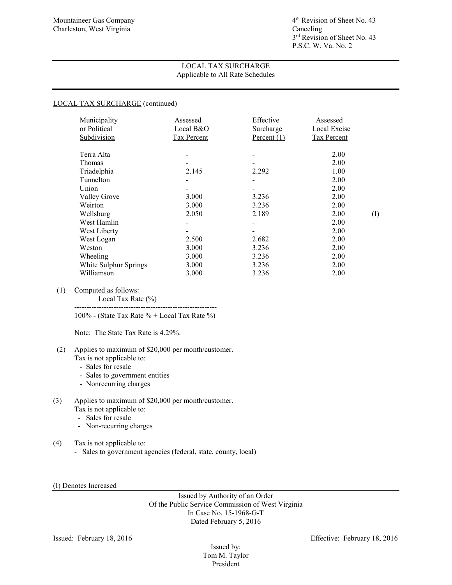## LOCAL TAX SURCHARGE (continued)

| Municipality<br>or Political<br>Subdivision | Assessed<br>Local B&O<br><b>Tax Percent</b> | Effective<br>Surcharge<br>Percent $(1)$ | Assessed<br>Local Excise<br><b>Tax Percent</b> |          |
|---------------------------------------------|---------------------------------------------|-----------------------------------------|------------------------------------------------|----------|
|                                             |                                             |                                         |                                                |          |
| Terra Alta                                  |                                             |                                         | 2.00                                           |          |
| Thomas                                      |                                             |                                         | 2.00                                           |          |
| Triadelphia                                 | 2.145                                       | 2.292                                   | 1.00                                           |          |
| Tunnelton                                   |                                             |                                         | 2.00                                           |          |
| Union                                       |                                             |                                         | 2.00                                           |          |
| Valley Grove                                | 3.000                                       | 3.236                                   | 2.00                                           |          |
| Weirton                                     | 3.000                                       | 3.236                                   | 2.00                                           |          |
| Wellsburg                                   | 2.050                                       | 2.189                                   | 2.00                                           | $\rm(I)$ |
| West Hamlin                                 |                                             |                                         | 2.00                                           |          |
| West Liberty                                |                                             |                                         | 2.00                                           |          |
| West Logan                                  | 2.500                                       | 2.682                                   | 2.00                                           |          |
| Weston                                      | 3.000                                       | 3.236                                   | 2.00                                           |          |
| Wheeling                                    | 3.000                                       | 3.236                                   | 2.00                                           |          |
| White Sulphur Springs                       | 3.000                                       | 3.236                                   | 2.00                                           |          |
| Williamson                                  | 3.000                                       | 3.236                                   | 2.00                                           |          |

## (1) Computed as follows:

Local Tax Rate (%)

---------------------------------------------------------- 100% - (State Tax Rate % + Local Tax Rate %)

Note: The State Tax Rate is 4.29%.

#### (2) Applies to maximum of \$20,000 per month/customer. Tax is not applicable to:

- Sales for resale
- Sales to government entities
- Nonrecurring charges

#### (3) Applies to maximum of \$20,000 per month/customer. Tax is not applicable to:

- Sales for resale
- Non-recurring charges
- (4) Tax is not applicable to:
	- Sales to government agencies (federal, state, county, local)

#### (I) Denotes Increased

Issued by Authority of an Order Of the Public Service Commission of West Virginia In Case No. 15-1968-G-T Dated February 5, 2016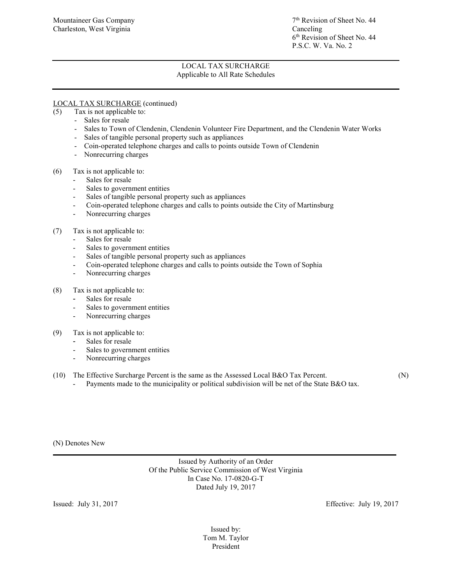## LOCAL TAX SURCHARGE (continued)

- (5) Tax is not applicable to:
	- Sales for resale
	- Sales to Town of Clendenin, Clendenin Volunteer Fire Department, and the Clendenin Water Works
	- Sales of tangible personal property such as appliances
	- Coin-operated telephone charges and calls to points outside Town of Clendenin
	- Nonrecurring charges
- (6) Tax is not applicable to:
	- Sales for resale
	- Sales to government entities
	- Sales of tangible personal property such as appliances
	- Coin-operated telephone charges and calls to points outside the City of Martinsburg
	- Nonrecurring charges

## (7) Tax is not applicable to:

- Sales for resale
- Sales to government entities
- Sales of tangible personal property such as appliances
- Coin-operated telephone charges and calls to points outside the Town of Sophia
- Nonrecurring charges
- (8) Tax is not applicable to:
	- Sales for resale
	- Sales to government entities
	- Nonrecurring charges
- (9) Tax is not applicable to:
	- Sales for resale
	- Sales to government entities
	- Nonrecurring charges
- (10) The Effective Surcharge Percent is the same as the Assessed Local B&O Tax Percent. (N)
	- Payments made to the municipality or political subdivision will be net of the State B&O tax.

(N) Denotes New  $\mathcal{L}_\mathcal{L} = \mathcal{L}_\mathcal{L} = \mathcal{L}_\mathcal{L} = \mathcal{L}_\mathcal{L} = \mathcal{L}_\mathcal{L} = \mathcal{L}_\mathcal{L} = \mathcal{L}_\mathcal{L} = \mathcal{L}_\mathcal{L} = \mathcal{L}_\mathcal{L} = \mathcal{L}_\mathcal{L} = \mathcal{L}_\mathcal{L} = \mathcal{L}_\mathcal{L} = \mathcal{L}_\mathcal{L} = \mathcal{L}_\mathcal{L} = \mathcal{L}_\mathcal{L} = \mathcal{L}_\mathcal{L} = \mathcal{L}_\mathcal{L}$ 

> Issued by Authority of an Order Of the Public Service Commission of West Virginia In Case No. 17-0820-G-T Dated July 19, 2017

Issued: July 31, 2017 Effective: July 19, 2017

Issued by: Tom M. Taylor President